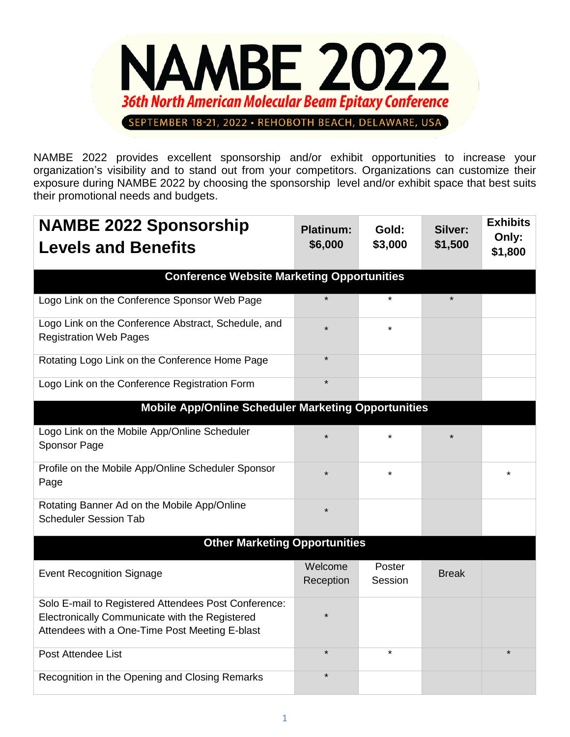

NAMBE 2022 provides excellent sponsorship and/or exhibit opportunities to increase your organization's visibility and to stand out from your competitors. Organizations can customize their exposure during NAMBE 2022 by choosing the sponsorship level and/or exhibit space that best suits their promotional needs and budgets.

| <b>NAMBE 2022 Sponsorship</b>                                                                    | <b>Platinum:</b>     | Gold:             | Silver:      | <b>Exhibits</b>  |  |
|--------------------------------------------------------------------------------------------------|----------------------|-------------------|--------------|------------------|--|
| <b>Levels and Benefits</b>                                                                       | \$6,000              | \$3,000           | \$1,500      | Only:<br>\$1,800 |  |
| <b>Conference Website Marketing Opportunities</b>                                                |                      |                   |              |                  |  |
| Logo Link on the Conference Sponsor Web Page                                                     | $\star$              | $\star$           |              |                  |  |
| Logo Link on the Conference Abstract, Schedule, and<br><b>Registration Web Pages</b>             | ÷                    | ¥                 |              |                  |  |
| Rotating Logo Link on the Conference Home Page                                                   | $\star$              |                   |              |                  |  |
| Logo Link on the Conference Registration Form                                                    | $\star$              |                   |              |                  |  |
| <b>Mobile App/Online Scheduler Marketing Opportunities</b>                                       |                      |                   |              |                  |  |
| Logo Link on the Mobile App/Online Scheduler<br>Sponsor Page                                     | $\star$              | $\star$           |              |                  |  |
| Profile on the Mobile App/Online Scheduler Sponsor<br>Page                                       | $\star$              | $\star$           |              | $\star$          |  |
| Rotating Banner Ad on the Mobile App/Online<br><b>Scheduler Session Tab</b>                      | $\star$              |                   |              |                  |  |
| <b>Other Marketing Opportunities</b>                                                             |                      |                   |              |                  |  |
| <b>Event Recognition Signage</b>                                                                 | Welcome<br>Reception | Poster<br>Session | <b>Break</b> |                  |  |
| Solo E-mail to Registered Attendees Post Conference:                                             |                      |                   |              |                  |  |
| Electronically Communicate with the Registered<br>Attendees with a One-Time Post Meeting E-blast | $\star$              |                   |              |                  |  |
| Post Attendee List                                                                               | $\star$              | $\star$           |              | $\star$          |  |
| Recognition in the Opening and Closing Remarks                                                   | $\star$              |                   |              |                  |  |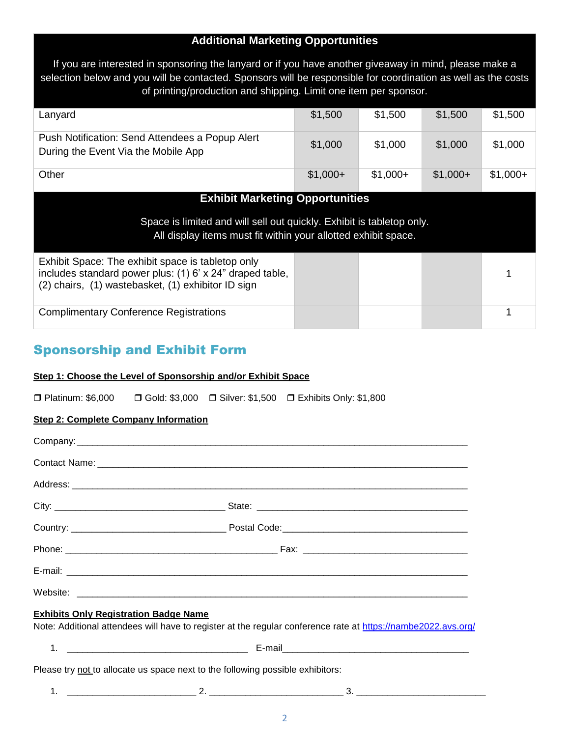## **Additional Marketing Opportunities**

If you are interested in sponsoring the lanyard or if you have another giveaway in mind, please make a selection below and you will be contacted. Sponsors will be responsible for coordination as well as the costs of printing/production and shipping. Limit one item per sponsor.

| Lanyard                                                                                                                                                             | \$1,500   | \$1,500   | \$1,500   | \$1,500   |  |
|---------------------------------------------------------------------------------------------------------------------------------------------------------------------|-----------|-----------|-----------|-----------|--|
| Push Notification: Send Attendees a Popup Alert<br>During the Event Via the Mobile App                                                                              | \$1,000   | \$1,000   | \$1,000   | \$1,000   |  |
| Other                                                                                                                                                               | $$1,000+$ | $$1,000+$ | $$1,000+$ | $$1,000+$ |  |
| <b>Exhibit Marketing Opportunities</b>                                                                                                                              |           |           |           |           |  |
| Space is limited and will sell out quickly. Exhibit is tabletop only.<br>All display items must fit within your allotted exhibit space.                             |           |           |           |           |  |
| Exhibit Space: The exhibit space is tabletop only<br>includes standard power plus: (1) 6' x 24" draped table,<br>(2) chairs, (1) wastebasket, (1) exhibitor ID sign |           |           |           |           |  |
| <b>Complimentary Conference Registrations</b>                                                                                                                       |           |           |           |           |  |

# Sponsorship and Exhibit Form

### **Step 1: Choose the Level of Sponsorship and/or Exhibit Space**

□ Platinum: \$6,000 □ Gold: \$3,000 □ Silver: \$1,500 □ Exhibits Only: \$1,800

### **Step 2: Complete Company Information**

| <b>Exhibits Only Registration Badge Name</b>                                   | Note: Additional attendees will have to register at the regular conference rate at https://nambe2022.avs.org/ |
|--------------------------------------------------------------------------------|---------------------------------------------------------------------------------------------------------------|
|                                                                                |                                                                                                               |
| Please try not to allocate us space next to the following possible exhibitors: |                                                                                                               |
| 1.                                                                             |                                                                                                               |